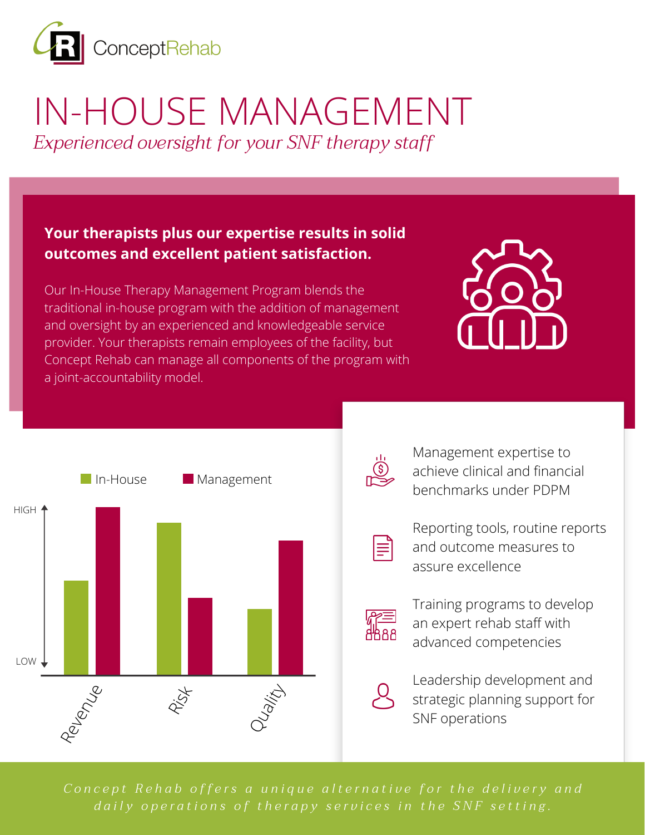

# IN-HOUSE MANAGEMENT

*Experienced oversight for your SNF therapy staff*

#### **Your therapists plus our expertise results in solid outcomes and excellent patient satisfaction.**

Our In-House Therapy Management Program blends the traditional in-house program with the addition of management and oversight by an experienced and knowledgeable service provider. Your therapists remain employees of the facility, but Concept Rehab can manage all components of the program with a joint-accountability model.





Management expertise to achieve clinical and financial benchmarks under PDPM



Reporting tools, routine reports and outcome measures to assure excellence



Training programs to develop an expert rehab staff with advanced competencies

Leadership development and strategic planning support for SNF operations